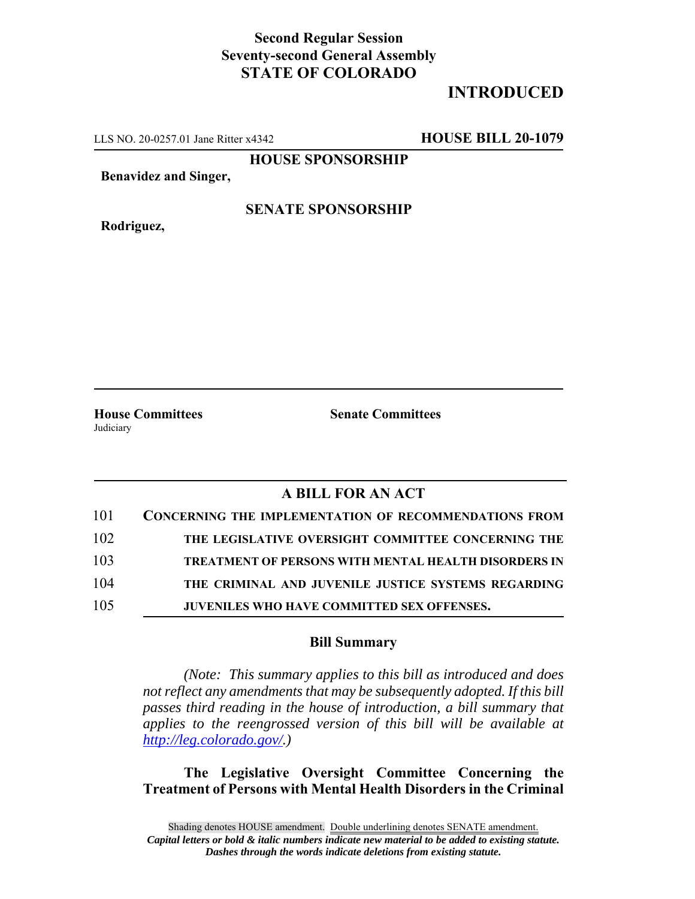## **Second Regular Session Seventy-second General Assembly STATE OF COLORADO**

## **INTRODUCED**

LLS NO. 20-0257.01 Jane Ritter x4342 **HOUSE BILL 20-1079**

**HOUSE SPONSORSHIP**

**Benavidez and Singer,**

**Rodriguez,**

**SENATE SPONSORSHIP**

**House Committees Senate Committees** Judiciary

## **A BILL FOR AN ACT**

| 101 | <b>CONCERNING THE IMPLEMENTATION OF RECOMMENDATIONS FROM</b> |
|-----|--------------------------------------------------------------|
| 102 | THE LEGISLATIVE OVERSIGHT COMMITTEE CONCERNING THE           |
| 103 | <b>TREATMENT OF PERSONS WITH MENTAL HEALTH DISORDERS IN</b>  |
| 104 | THE CRIMINAL AND JUVENILE JUSTICE SYSTEMS REGARDING          |
| 105 | JUVENILES WHO HAVE COMMITTED SEX OFFENSES.                   |

## **Bill Summary**

*(Note: This summary applies to this bill as introduced and does not reflect any amendments that may be subsequently adopted. If this bill passes third reading in the house of introduction, a bill summary that applies to the reengrossed version of this bill will be available at http://leg.colorado.gov/.)*

**The Legislative Oversight Committee Concerning the Treatment of Persons with Mental Health Disorders in the Criminal**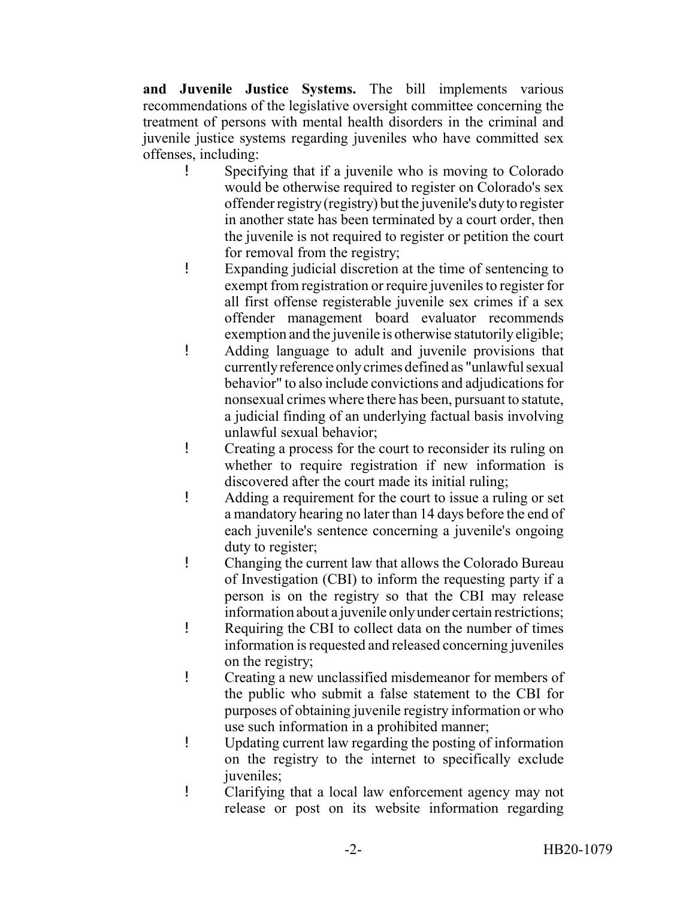**and Juvenile Justice Systems.** The bill implements various recommendations of the legislative oversight committee concerning the treatment of persons with mental health disorders in the criminal and juvenile justice systems regarding juveniles who have committed sex offenses, including:

- ! Specifying that if a juvenile who is moving to Colorado would be otherwise required to register on Colorado's sex offender registry (registry) but the juvenile's duty to register in another state has been terminated by a court order, then the juvenile is not required to register or petition the court for removal from the registry;
- ! Expanding judicial discretion at the time of sentencing to exempt from registration or require juveniles to register for all first offense registerable juvenile sex crimes if a sex offender management board evaluator recommends exemption and the juvenile is otherwise statutorily eligible;
- ! Adding language to adult and juvenile provisions that currently reference only crimes defined as "unlawful sexual behavior" to also include convictions and adjudications for nonsexual crimes where there has been, pursuant to statute, a judicial finding of an underlying factual basis involving unlawful sexual behavior;
- ! Creating a process for the court to reconsider its ruling on whether to require registration if new information is discovered after the court made its initial ruling;
- ! Adding a requirement for the court to issue a ruling or set a mandatory hearing no later than 14 days before the end of each juvenile's sentence concerning a juvenile's ongoing duty to register;
- ! Changing the current law that allows the Colorado Bureau of Investigation (CBI) to inform the requesting party if a person is on the registry so that the CBI may release information about a juvenile only under certain restrictions;
- ! Requiring the CBI to collect data on the number of times information is requested and released concerning juveniles on the registry;
- ! Creating a new unclassified misdemeanor for members of the public who submit a false statement to the CBI for purposes of obtaining juvenile registry information or who use such information in a prohibited manner;
- ! Updating current law regarding the posting of information on the registry to the internet to specifically exclude juveniles:
- ! Clarifying that a local law enforcement agency may not release or post on its website information regarding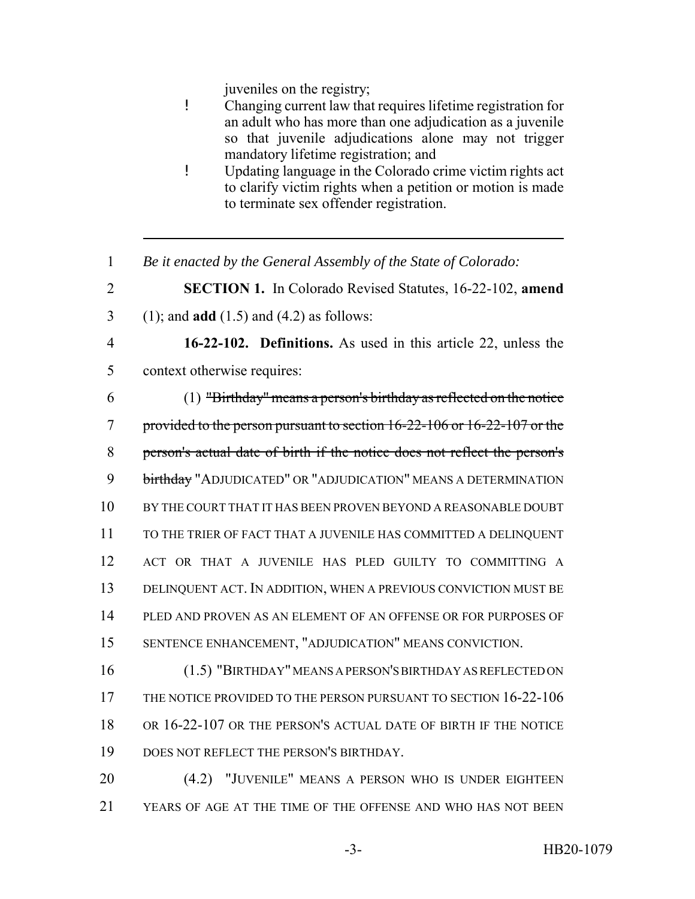juveniles on the registry;

- ! Changing current law that requires lifetime registration for an adult who has more than one adjudication as a juvenile so that juvenile adjudications alone may not trigger mandatory lifetime registration; and
- ! Updating language in the Colorado crime victim rights act to clarify victim rights when a petition or motion is made to terminate sex offender registration.
- *Be it enacted by the General Assembly of the State of Colorado:*
- **SECTION 1.** In Colorado Revised Statutes, 16-22-102, **amend**
- (1); and **add** (1.5) and (4.2) as follows:
- 

 **16-22-102. Definitions.** As used in this article 22, unless the context otherwise requires:

- (1) "Birthday" means a person's birthday as reflected on the notice provided to the person pursuant to section 16-22-106 or 16-22-107 or the person's actual date of birth if the notice does not reflect the person's birthday "ADJUDICATED" OR "ADJUDICATION" MEANS A DETERMINATION BY THE COURT THAT IT HAS BEEN PROVEN BEYOND A REASONABLE DOUBT TO THE TRIER OF FACT THAT A JUVENILE HAS COMMITTED A DELINQUENT ACT OR THAT A JUVENILE HAS PLED GUILTY TO COMMITTING A DELINQUENT ACT. IN ADDITION, WHEN A PREVIOUS CONVICTION MUST BE PLED AND PROVEN AS AN ELEMENT OF AN OFFENSE OR FOR PURPOSES OF SENTENCE ENHANCEMENT, "ADJUDICATION" MEANS CONVICTION.
- (1.5) "BIRTHDAY" MEANS A PERSON'S BIRTHDAY AS REFLECTED ON THE NOTICE PROVIDED TO THE PERSON PURSUANT TO SECTION 16-22-106 OR 16-22-107 OR THE PERSON'S ACTUAL DATE OF BIRTH IF THE NOTICE DOES NOT REFLECT THE PERSON'S BIRTHDAY.
- (4.2) "JUVENILE" MEANS A PERSON WHO IS UNDER EIGHTEEN YEARS OF AGE AT THE TIME OF THE OFFENSE AND WHO HAS NOT BEEN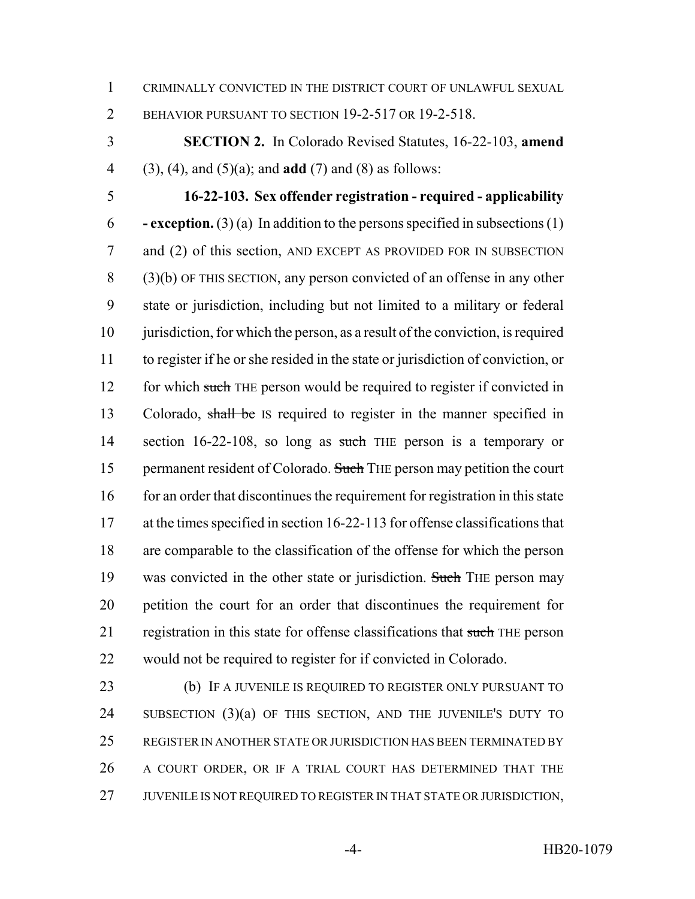CRIMINALLY CONVICTED IN THE DISTRICT COURT OF UNLAWFUL SEXUAL

BEHAVIOR PURSUANT TO SECTION 19-2-517 OR 19-2-518.

 **SECTION 2.** In Colorado Revised Statutes, 16-22-103, **amend** (3), (4), and (5)(a); and **add** (7) and (8) as follows:

 **16-22-103. Sex offender registration - required - applicability - exception.** (3) (a) In addition to the persons specified in subsections (1) and (2) of this section, AND EXCEPT AS PROVIDED FOR IN SUBSECTION (3)(b) OF THIS SECTION, any person convicted of an offense in any other state or jurisdiction, including but not limited to a military or federal 10 jurisdiction, for which the person, as a result of the conviction, is required to register if he or she resided in the state or jurisdiction of conviction, or 12 for which such THE person would be required to register if convicted in 13 Colorado, shall be IS required to register in the manner specified in 14 section 16-22-108, so long as such THE person is a temporary or 15 permanent resident of Colorado. Such THE person may petition the court 16 for an order that discontinues the requirement for registration in this state at the times specified in section 16-22-113 for offense classifications that are comparable to the classification of the offense for which the person 19 was convicted in the other state or jurisdiction. Such THE person may petition the court for an order that discontinues the requirement for 21 registration in this state for offense classifications that such THE person would not be required to register for if convicted in Colorado.

 (b) IF A JUVENILE IS REQUIRED TO REGISTER ONLY PURSUANT TO SUBSECTION (3)(a) OF THIS SECTION, AND THE JUVENILE'S DUTY TO REGISTER IN ANOTHER STATE OR JURISDICTION HAS BEEN TERMINATED BY A COURT ORDER, OR IF A TRIAL COURT HAS DETERMINED THAT THE 27 JUVENILE IS NOT REQUIRED TO REGISTER IN THAT STATE OR JURISDICTION,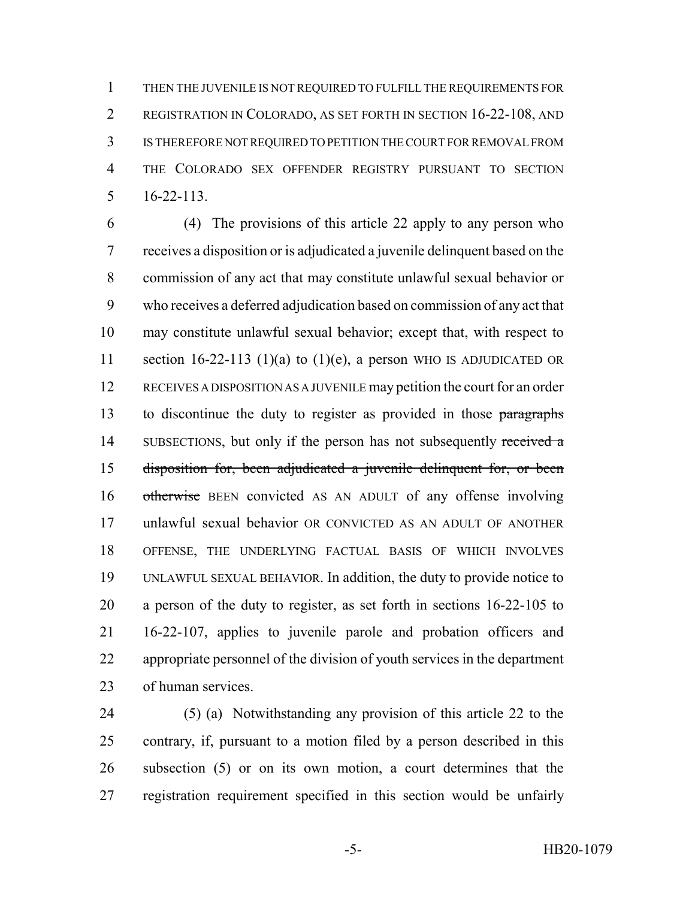THEN THE JUVENILE IS NOT REQUIRED TO FULFILL THE REQUIREMENTS FOR REGISTRATION IN COLORADO, AS SET FORTH IN SECTION 16-22-108, AND IS THEREFORE NOT REQUIRED TO PETITION THE COURT FOR REMOVAL FROM THE COLORADO SEX OFFENDER REGISTRY PURSUANT TO SECTION 16-22-113.

 (4) The provisions of this article 22 apply to any person who receives a disposition or is adjudicated a juvenile delinquent based on the commission of any act that may constitute unlawful sexual behavior or who receives a deferred adjudication based on commission of any act that may constitute unlawful sexual behavior; except that, with respect to 11 section 16-22-113 (1)(a) to (1)(e), a person WHO IS ADJUDICATED OR RECEIVES A DISPOSITION AS A JUVENILE may petition the court for an order 13 to discontinue the duty to register as provided in those paragraphs 14 SUBSECTIONS, but only if the person has not subsequently received a disposition for, been adjudicated a juvenile delinquent for, or been 16 otherwise BEEN convicted AS AN ADULT of any offense involving unlawful sexual behavior OR CONVICTED AS AN ADULT OF ANOTHER OFFENSE, THE UNDERLYING FACTUAL BASIS OF WHICH INVOLVES UNLAWFUL SEXUAL BEHAVIOR. In addition, the duty to provide notice to a person of the duty to register, as set forth in sections 16-22-105 to 16-22-107, applies to juvenile parole and probation officers and appropriate personnel of the division of youth services in the department of human services.

 (5) (a) Notwithstanding any provision of this article 22 to the contrary, if, pursuant to a motion filed by a person described in this subsection (5) or on its own motion, a court determines that the registration requirement specified in this section would be unfairly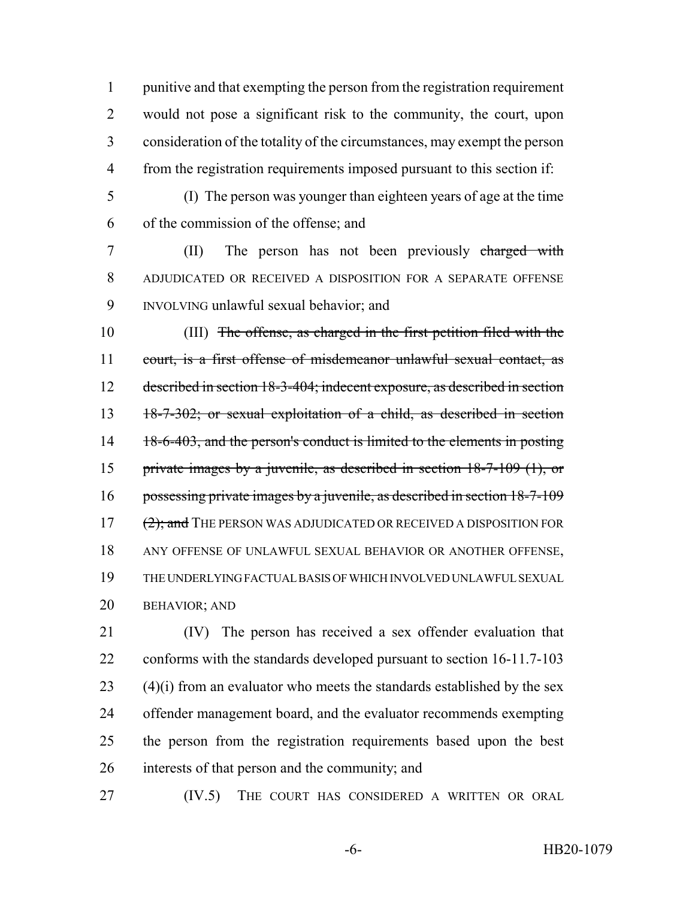punitive and that exempting the person from the registration requirement would not pose a significant risk to the community, the court, upon consideration of the totality of the circumstances, may exempt the person from the registration requirements imposed pursuant to this section if:

 (I) The person was younger than eighteen years of age at the time of the commission of the offense; and

 (II) The person has not been previously charged with ADJUDICATED OR RECEIVED A DISPOSITION FOR A SEPARATE OFFENSE INVOLVING unlawful sexual behavior; and

 (III) The offense, as charged in the first petition filed with the court, is a first offense of misdemeanor unlawful sexual contact, as described in section 18-3-404; indecent exposure, as described in section 18-7-302; or sexual exploitation of a child, as described in section 14 18-6-403, and the person's conduct is limited to the elements in posting private images by a juvenile, as described in section 18-7-109 (1), or possessing private images by a juvenile, as described in section 18-7-109 17 (2); and THE PERSON WAS ADJUDICATED OR RECEIVED A DISPOSITION FOR ANY OFFENSE OF UNLAWFUL SEXUAL BEHAVIOR OR ANOTHER OFFENSE, THE UNDERLYING FACTUAL BASIS OF WHICH INVOLVED UNLAWFUL SEXUAL BEHAVIOR; AND

 (IV) The person has received a sex offender evaluation that conforms with the standards developed pursuant to section 16-11.7-103 (4)(i) from an evaluator who meets the standards established by the sex offender management board, and the evaluator recommends exempting the person from the registration requirements based upon the best interests of that person and the community; and

(IV.5) THE COURT HAS CONSIDERED A WRITTEN OR ORAL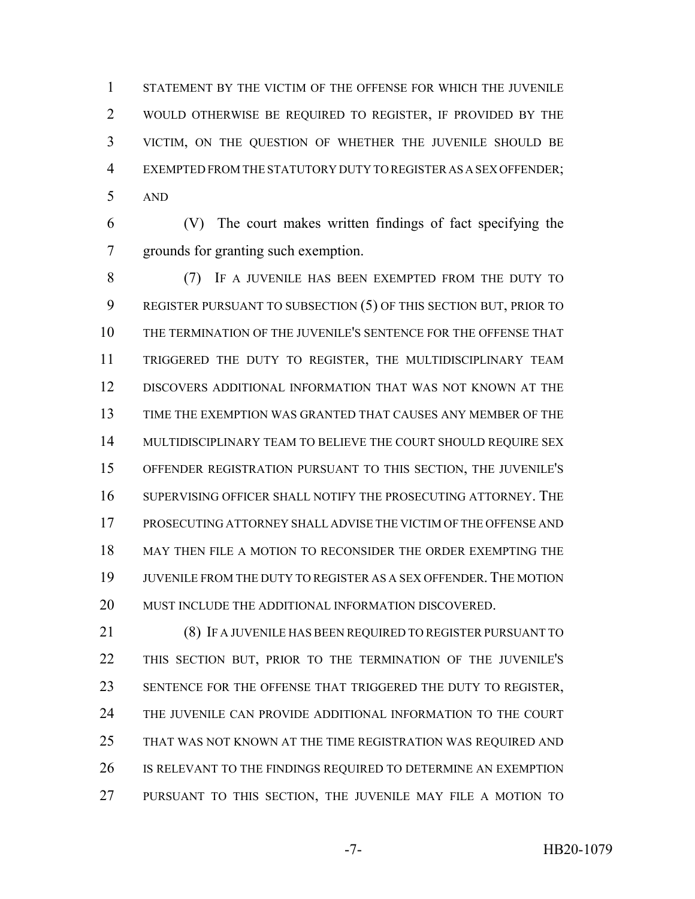STATEMENT BY THE VICTIM OF THE OFFENSE FOR WHICH THE JUVENILE WOULD OTHERWISE BE REQUIRED TO REGISTER, IF PROVIDED BY THE VICTIM, ON THE QUESTION OF WHETHER THE JUVENILE SHOULD BE EXEMPTED FROM THE STATUTORY DUTY TO REGISTER AS A SEX OFFENDER; AND

 (V) The court makes written findings of fact specifying the grounds for granting such exemption.

 (7) IF A JUVENILE HAS BEEN EXEMPTED FROM THE DUTY TO REGISTER PURSUANT TO SUBSECTION (5) OF THIS SECTION BUT, PRIOR TO THE TERMINATION OF THE JUVENILE'S SENTENCE FOR THE OFFENSE THAT TRIGGERED THE DUTY TO REGISTER, THE MULTIDISCIPLINARY TEAM DISCOVERS ADDITIONAL INFORMATION THAT WAS NOT KNOWN AT THE TIME THE EXEMPTION WAS GRANTED THAT CAUSES ANY MEMBER OF THE 14 MULTIDISCIPLINARY TEAM TO BELIEVE THE COURT SHOULD REQUIRE SEX OFFENDER REGISTRATION PURSUANT TO THIS SECTION, THE JUVENILE'S SUPERVISING OFFICER SHALL NOTIFY THE PROSECUTING ATTORNEY. THE PROSECUTING ATTORNEY SHALL ADVISE THE VICTIM OF THE OFFENSE AND MAY THEN FILE A MOTION TO RECONSIDER THE ORDER EXEMPTING THE JUVENILE FROM THE DUTY TO REGISTER AS A SEX OFFENDER. THE MOTION 20 MUST INCLUDE THE ADDITIONAL INFORMATION DISCOVERED.

 (8) IF A JUVENILE HAS BEEN REQUIRED TO REGISTER PURSUANT TO THIS SECTION BUT, PRIOR TO THE TERMINATION OF THE JUVENILE'S SENTENCE FOR THE OFFENSE THAT TRIGGERED THE DUTY TO REGISTER, THE JUVENILE CAN PROVIDE ADDITIONAL INFORMATION TO THE COURT THAT WAS NOT KNOWN AT THE TIME REGISTRATION WAS REQUIRED AND 26 IS RELEVANT TO THE FINDINGS REQUIRED TO DETERMINE AN EXEMPTION PURSUANT TO THIS SECTION, THE JUVENILE MAY FILE A MOTION TO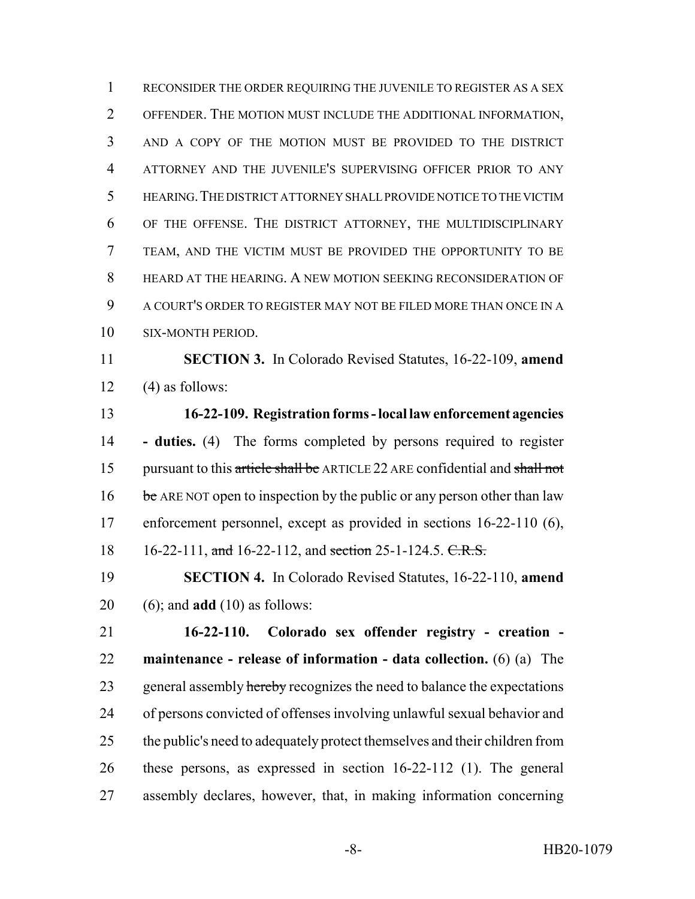RECONSIDER THE ORDER REQUIRING THE JUVENILE TO REGISTER AS A SEX OFFENDER. THE MOTION MUST INCLUDE THE ADDITIONAL INFORMATION, AND A COPY OF THE MOTION MUST BE PROVIDED TO THE DISTRICT ATTORNEY AND THE JUVENILE'S SUPERVISING OFFICER PRIOR TO ANY HEARING.THE DISTRICT ATTORNEY SHALL PROVIDE NOTICE TO THE VICTIM OF THE OFFENSE. THE DISTRICT ATTORNEY, THE MULTIDISCIPLINARY TEAM, AND THE VICTIM MUST BE PROVIDED THE OPPORTUNITY TO BE HEARD AT THE HEARING. A NEW MOTION SEEKING RECONSIDERATION OF A COURT'S ORDER TO REGISTER MAY NOT BE FILED MORE THAN ONCE IN A SIX-MONTH PERIOD.

 **SECTION 3.** In Colorado Revised Statutes, 16-22-109, **amend** 12  $(4)$  as follows:

 **16-22-109. Registration forms - local law enforcement agencies - duties.** (4) The forms completed by persons required to register 15 pursuant to this article shall be ARTICLE 22 ARE confidential and shall not 16 be ARE NOT open to inspection by the public or any person other than law enforcement personnel, except as provided in sections 16-22-110 (6), 18 16-22-111, and 16-22-112, and section 25-1-124.5. C.R.S.

 **SECTION 4.** In Colorado Revised Statutes, 16-22-110, **amend** (6); and **add** (10) as follows:

 **16-22-110. Colorado sex offender registry - creation - maintenance - release of information - data collection.** (6) (a) The 23 general assembly hereby recognizes the need to balance the expectations of persons convicted of offenses involving unlawful sexual behavior and the public's need to adequately protect themselves and their children from these persons, as expressed in section 16-22-112 (1). The general assembly declares, however, that, in making information concerning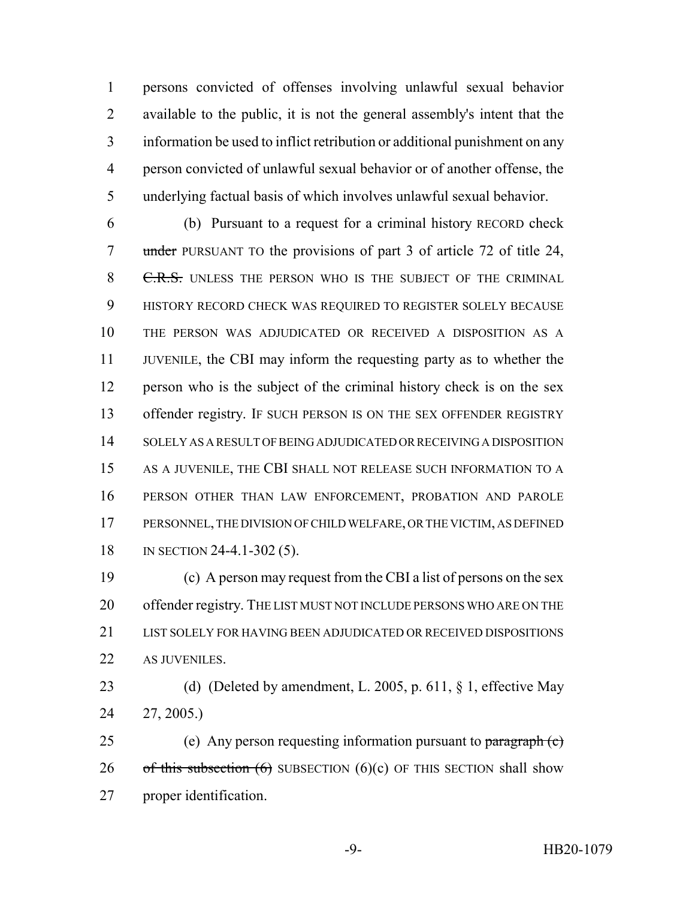persons convicted of offenses involving unlawful sexual behavior available to the public, it is not the general assembly's intent that the information be used to inflict retribution or additional punishment on any person convicted of unlawful sexual behavior or of another offense, the underlying factual basis of which involves unlawful sexual behavior.

 (b) Pursuant to a request for a criminal history RECORD check 7 under PURSUANT TO the provisions of part 3 of article 72 of title 24, 8 C.R.S. UNLESS THE PERSON WHO IS THE SUBJECT OF THE CRIMINAL HISTORY RECORD CHECK WAS REQUIRED TO REGISTER SOLELY BECAUSE THE PERSON WAS ADJUDICATED OR RECEIVED A DISPOSITION AS A JUVENILE, the CBI may inform the requesting party as to whether the person who is the subject of the criminal history check is on the sex 13 offender registry. IF SUCH PERSON IS ON THE SEX OFFENDER REGISTRY SOLELY AS A RESULT OF BEING ADJUDICATED OR RECEIVING A DISPOSITION AS A JUVENILE, THE CBI SHALL NOT RELEASE SUCH INFORMATION TO A PERSON OTHER THAN LAW ENFORCEMENT, PROBATION AND PAROLE PERSONNEL, THE DIVISION OF CHILD WELFARE, OR THE VICTIM, AS DEFINED IN SECTION 24-4.1-302 (5).

 (c) A person may request from the CBI a list of persons on the sex 20 offender registry. THE LIST MUST NOT INCLUDE PERSONS WHO ARE ON THE LIST SOLELY FOR HAVING BEEN ADJUDICATED OR RECEIVED DISPOSITIONS AS JUVENILES.

23 (d) (Deleted by amendment, L. 2005, p. 611, § 1, effective May 27, 2005.)

 (e) Any person requesting information pursuant to paragraph (c) 26 of this subsection  $(6)$  SUBSECTION  $(6)(c)$  OF THIS SECTION shall show proper identification.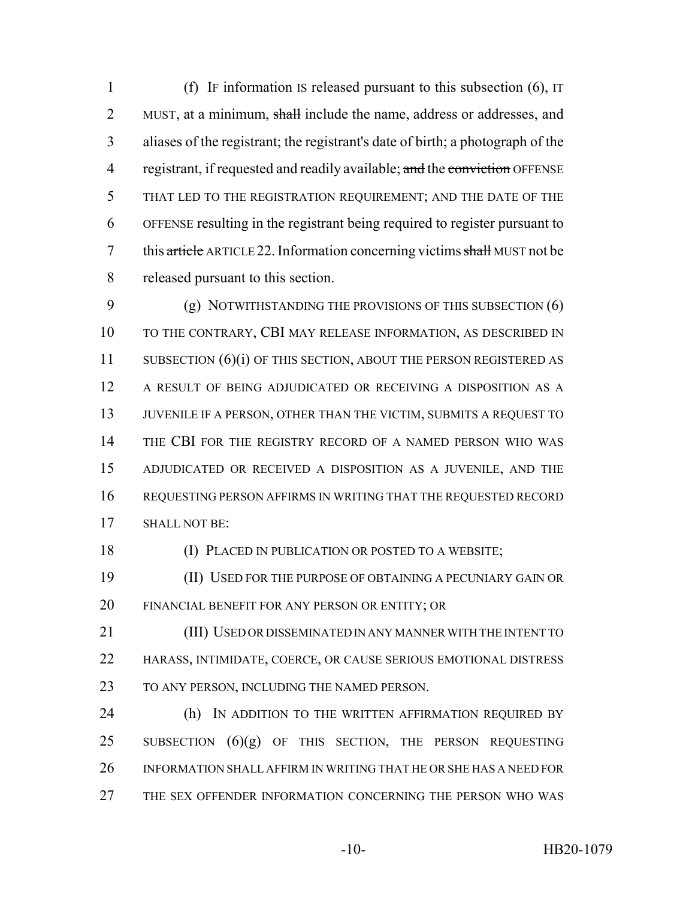(f) IF information IS released pursuant to this subsection (6), IT 2 MUST, at a minimum, shall include the name, address or addresses, and aliases of the registrant; the registrant's date of birth; a photograph of the 4 registrant, if requested and readily available; and the conviction OFFENSE THAT LED TO THE REGISTRATION REQUIREMENT; AND THE DATE OF THE OFFENSE resulting in the registrant being required to register pursuant to 7 this article ARTICLE 22. Information concerning victims shall MUST not be released pursuant to this section.

 (g) NOTWITHSTANDING THE PROVISIONS OF THIS SUBSECTION (6) TO THE CONTRARY, CBI MAY RELEASE INFORMATION, AS DESCRIBED IN 11 SUBSECTION (6)(i) OF THIS SECTION, ABOUT THE PERSON REGISTERED AS A RESULT OF BEING ADJUDICATED OR RECEIVING A DISPOSITION AS A 13 JUVENILE IF A PERSON, OTHER THAN THE VICTIM, SUBMITS A REQUEST TO THE CBI FOR THE REGISTRY RECORD OF A NAMED PERSON WHO WAS ADJUDICATED OR RECEIVED A DISPOSITION AS A JUVENILE, AND THE REQUESTING PERSON AFFIRMS IN WRITING THAT THE REQUESTED RECORD SHALL NOT BE:

(I) PLACED IN PUBLICATION OR POSTED TO A WEBSITE;

 (II) USED FOR THE PURPOSE OF OBTAINING A PECUNIARY GAIN OR FINANCIAL BENEFIT FOR ANY PERSON OR ENTITY; OR

 (III) USED OR DISSEMINATED IN ANY MANNER WITH THE INTENT TO HARASS, INTIMIDATE, COERCE, OR CAUSE SERIOUS EMOTIONAL DISTRESS TO ANY PERSON, INCLUDING THE NAMED PERSON.

24 (h) IN ADDITION TO THE WRITTEN AFFIRMATION REQUIRED BY 25 SUBSECTION  $(6)(g)$  OF THIS SECTION, THE PERSON REQUESTING INFORMATION SHALL AFFIRM IN WRITING THAT HE OR SHE HAS A NEED FOR THE SEX OFFENDER INFORMATION CONCERNING THE PERSON WHO WAS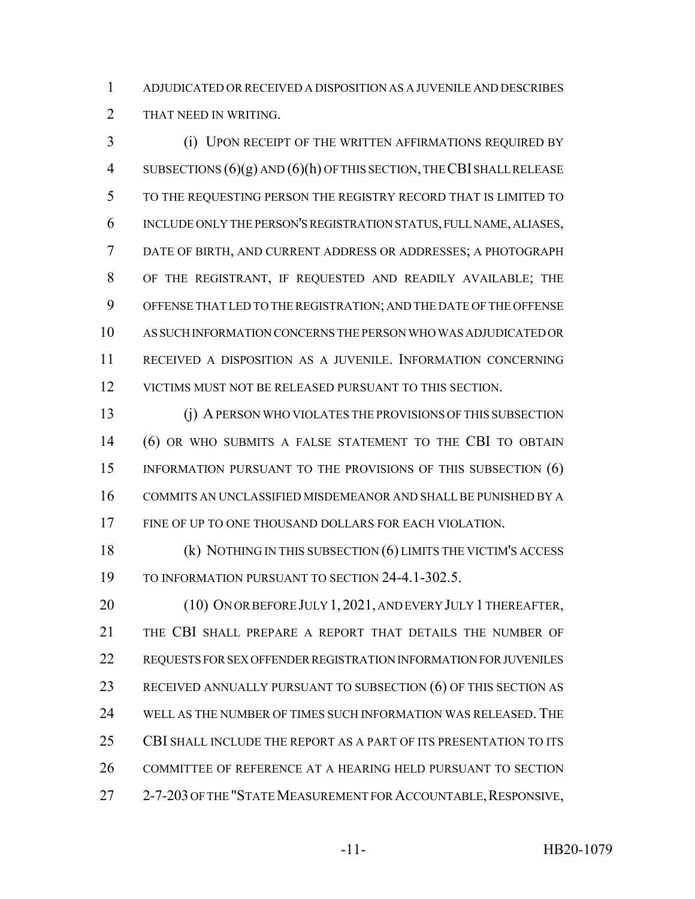ADJUDICATED OR RECEIVED A DISPOSITION AS A JUVENILE AND DESCRIBES THAT NEED IN WRITING.

 (i) UPON RECEIPT OF THE WRITTEN AFFIRMATIONS REQUIRED BY 4 SUBSECTIONS  $(6)(g)$  AND  $(6)(h)$  OF THIS SECTION, THE CBI SHALL RELEASE TO THE REQUESTING PERSON THE REGISTRY RECORD THAT IS LIMITED TO INCLUDE ONLY THE PERSON'S REGISTRATION STATUS, FULL NAME, ALIASES, DATE OF BIRTH, AND CURRENT ADDRESS OR ADDRESSES; A PHOTOGRAPH OF THE REGISTRANT, IF REQUESTED AND READILY AVAILABLE; THE OFFENSE THAT LED TO THE REGISTRATION; AND THE DATE OF THE OFFENSE AS SUCH INFORMATION CONCERNS THE PERSON WHO WAS ADJUDICATED OR RECEIVED A DISPOSITION AS A JUVENILE. INFORMATION CONCERNING VICTIMS MUST NOT BE RELEASED PURSUANT TO THIS SECTION.

 (j) A PERSON WHO VIOLATES THE PROVISIONS OF THIS SUBSECTION (6) OR WHO SUBMITS A FALSE STATEMENT TO THE CBI TO OBTAIN 15 INFORMATION PURSUANT TO THE PROVISIONS OF THIS SUBSECTION (6) COMMITS AN UNCLASSIFIED MISDEMEANOR AND SHALL BE PUNISHED BY A FINE OF UP TO ONE THOUSAND DOLLARS FOR EACH VIOLATION.

 (k) NOTHING IN THIS SUBSECTION (6) LIMITS THE VICTIM'S ACCESS TO INFORMATION PURSUANT TO SECTION 24-4.1-302.5.

20 (10) ON OR BEFORE JULY 1, 2021, AND EVERY JULY 1 THEREAFTER, THE CBI SHALL PREPARE A REPORT THAT DETAILS THE NUMBER OF REQUESTS FOR SEX OFFENDER REGISTRATION INFORMATION FOR JUVENILES RECEIVED ANNUALLY PURSUANT TO SUBSECTION (6) OF THIS SECTION AS WELL AS THE NUMBER OF TIMES SUCH INFORMATION WAS RELEASED. THE CBI SHALL INCLUDE THE REPORT AS A PART OF ITS PRESENTATION TO ITS COMMITTEE OF REFERENCE AT A HEARING HELD PURSUANT TO SECTION 27 2-7-203 OF THE "STATE MEASUREMENT FOR ACCOUNTABLE, RESPONSIVE,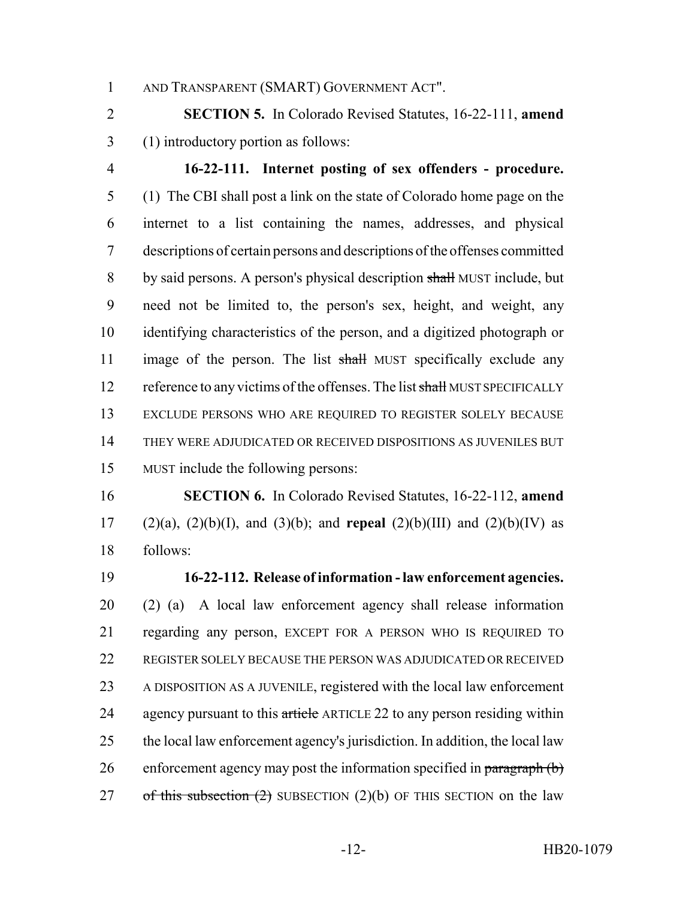AND TRANSPARENT (SMART) GOVERNMENT ACT".

 **SECTION 5.** In Colorado Revised Statutes, 16-22-111, **amend** (1) introductory portion as follows:

 **16-22-111. Internet posting of sex offenders - procedure.** (1) The CBI shall post a link on the state of Colorado home page on the internet to a list containing the names, addresses, and physical descriptions of certain persons and descriptions of the offenses committed 8 by said persons. A person's physical description shall MUST include, but need not be limited to, the person's sex, height, and weight, any identifying characteristics of the person, and a digitized photograph or 11 image of the person. The list shall MUST specifically exclude any 12 reference to any victims of the offenses. The list shall MUST SPECIFICALLY EXCLUDE PERSONS WHO ARE REQUIRED TO REGISTER SOLELY BECAUSE THEY WERE ADJUDICATED OR RECEIVED DISPOSITIONS AS JUVENILES BUT MUST include the following persons:

 **SECTION 6.** In Colorado Revised Statutes, 16-22-112, **amend** (2)(a), (2)(b)(I), and (3)(b); and **repeal** (2)(b)(III) and (2)(b)(IV) as follows:

 **16-22-112. Release of information - law enforcement agencies.** (2) (a) A local law enforcement agency shall release information regarding any person, EXCEPT FOR A PERSON WHO IS REQUIRED TO REGISTER SOLELY BECAUSE THE PERSON WAS ADJUDICATED OR RECEIVED A DISPOSITION AS A JUVENILE, registered with the local law enforcement 24 agency pursuant to this article ARTICLE 22 to any person residing within the local law enforcement agency's jurisdiction. In addition, the local law 26 enforcement agency may post the information specified in  $\frac{\partial^2 f}{\partial x^2}$ 27 of this subsection  $(2)$  SUBSECTION  $(2)(b)$  OF THIS SECTION on the law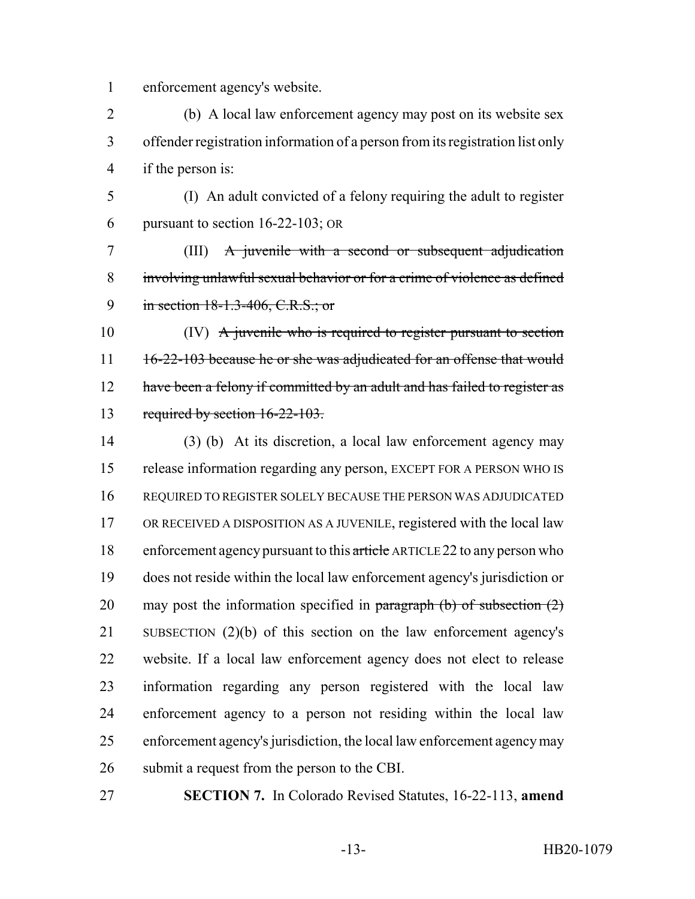enforcement agency's website.

 (b) A local law enforcement agency may post on its website sex offender registration information of a person from its registration list only if the person is:

 (I) An adult convicted of a felony requiring the adult to register pursuant to section 16-22-103; OR

 (III) A juvenile with a second or subsequent adjudication involving unlawful sexual behavior or for a crime of violence as defined 9 in section 18-1.3-406, C.R.S.; or

10 (IV) A juvenile who is required to register pursuant to section 11 16-22-103 because he or she was adjudicated for an offense that would 12 have been a felony if committed by an adult and has failed to register as required by section 16-22-103.

 (3) (b) At its discretion, a local law enforcement agency may release information regarding any person, EXCEPT FOR A PERSON WHO IS REQUIRED TO REGISTER SOLELY BECAUSE THE PERSON WAS ADJUDICATED OR RECEIVED A DISPOSITION AS A JUVENILE, registered with the local law 18 enforcement agency pursuant to this article ARTICLE 22 to any person who does not reside within the local law enforcement agency's jurisdiction or 20 may post the information specified in paragraph  $(b)$  of subsection  $(2)$  SUBSECTION (2)(b) of this section on the law enforcement agency's website. If a local law enforcement agency does not elect to release information regarding any person registered with the local law enforcement agency to a person not residing within the local law enforcement agency's jurisdiction, the local law enforcement agency may submit a request from the person to the CBI.

**SECTION 7.** In Colorado Revised Statutes, 16-22-113, **amend**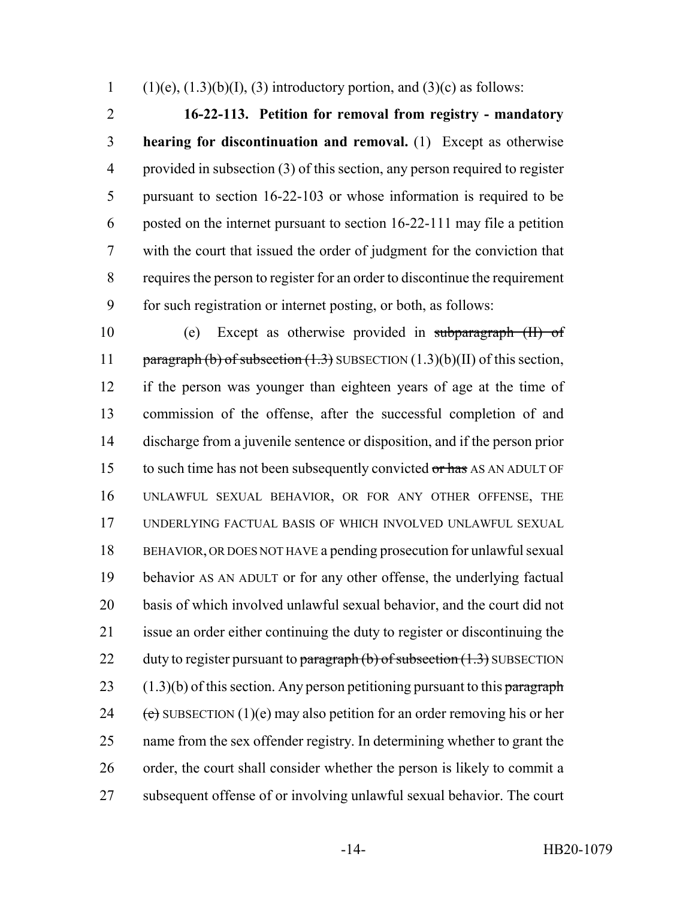1 (1)(e),  $(1.3)(b)(I)$ ,  $(3)$  introductory portion, and  $(3)(c)$  as follows:

 **16-22-113. Petition for removal from registry - mandatory hearing for discontinuation and removal.** (1) Except as otherwise provided in subsection (3) of this section, any person required to register pursuant to section 16-22-103 or whose information is required to be posted on the internet pursuant to section 16-22-111 may file a petition with the court that issued the order of judgment for the conviction that requires the person to register for an order to discontinue the requirement for such registration or internet posting, or both, as follows:

 (e) Except as otherwise provided in subparagraph (II) of 11 paragraph (b) of subsection (1.3) SUBSECTION (1.3)(b)(II) of this section, if the person was younger than eighteen years of age at the time of commission of the offense, after the successful completion of and discharge from a juvenile sentence or disposition, and if the person prior 15 to such time has not been subsequently convicted or has AS AN ADULT OF UNLAWFUL SEXUAL BEHAVIOR, OR FOR ANY OTHER OFFENSE, THE UNDERLYING FACTUAL BASIS OF WHICH INVOLVED UNLAWFUL SEXUAL BEHAVIOR, OR DOES NOT HAVE a pending prosecution for unlawful sexual behavior AS AN ADULT or for any other offense, the underlying factual basis of which involved unlawful sexual behavior, and the court did not issue an order either continuing the duty to register or discontinuing the 22 duty to register pursuant to paragraph  $(b)$  of subsection  $(1.3)$  SUBSECTION  $(1.3)(b)$  of this section. Any person petitioning pursuant to this paragraph 24 (e) SUBSECTION (1)(e) may also petition for an order removing his or her name from the sex offender registry. In determining whether to grant the order, the court shall consider whether the person is likely to commit a subsequent offense of or involving unlawful sexual behavior. The court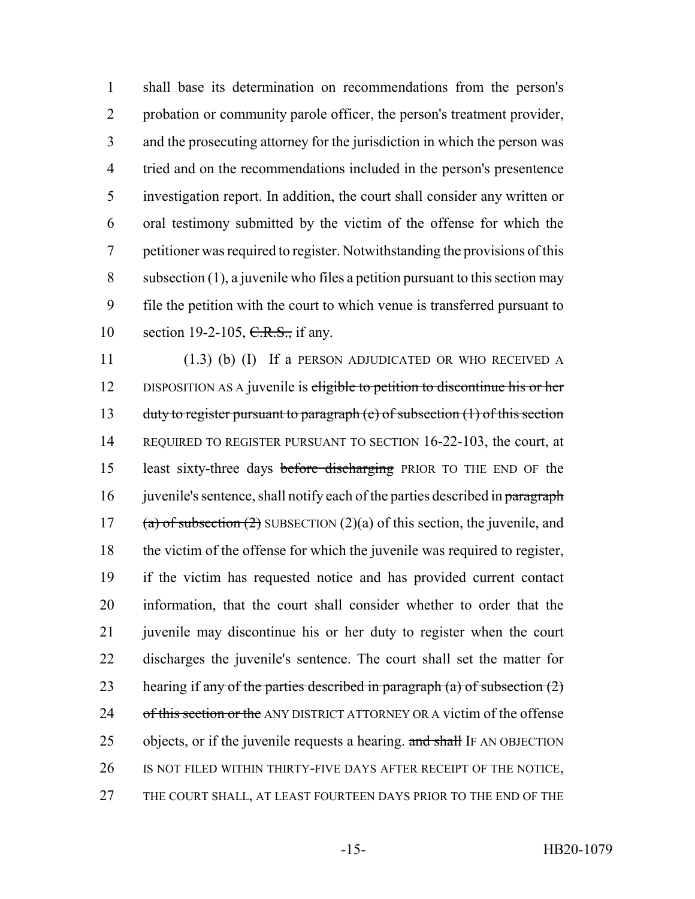shall base its determination on recommendations from the person's probation or community parole officer, the person's treatment provider, and the prosecuting attorney for the jurisdiction in which the person was tried and on the recommendations included in the person's presentence investigation report. In addition, the court shall consider any written or oral testimony submitted by the victim of the offense for which the petitioner was required to register. Notwithstanding the provisions of this subsection (1), a juvenile who files a petition pursuant to this section may file the petition with the court to which venue is transferred pursuant to 10 section 19-2-105, C.R.S., if any.

11 (1.3) (b) (I) If a PERSON ADJUDICATED OR WHO RECEIVED A 12 DISPOSITION AS A juvenile is eligible to petition to discontinue his or her 13 duty to register pursuant to paragraph (e) of subsection (1) of this section 14 REQUIRED TO REGISTER PURSUANT TO SECTION 16-22-103, the court, at 15 least sixty-three days before discharging PRIOR TO THE END OF the 16 juvenile's sentence, shall notify each of the parties described in paragraph 17 (a) of subsection  $(2)$  SUBSECTION  $(2)(a)$  of this section, the juvenile, and 18 the victim of the offense for which the juvenile was required to register, 19 if the victim has requested notice and has provided current contact 20 information, that the court shall consider whether to order that the 21 juven ile may discontinue his or her duty to register when the court 22 discharges the juvenile's sentence. The court shall set the matter for 23 hearing if any of the parties described in paragraph (a) of subsection  $(2)$ 24 of this section or the ANY DISTRICT ATTORNEY OR A victim of the offense 25 objects, or if the juvenile requests a hearing. and shall IF AN OBJECTION 26 IS NOT FILED WITHIN THIRTY-FIVE DAYS AFTER RECEIPT OF THE NOTICE, 27 THE COURT SHALL, AT LEAST FOURTEEN DAYS PRIOR TO THE END OF THE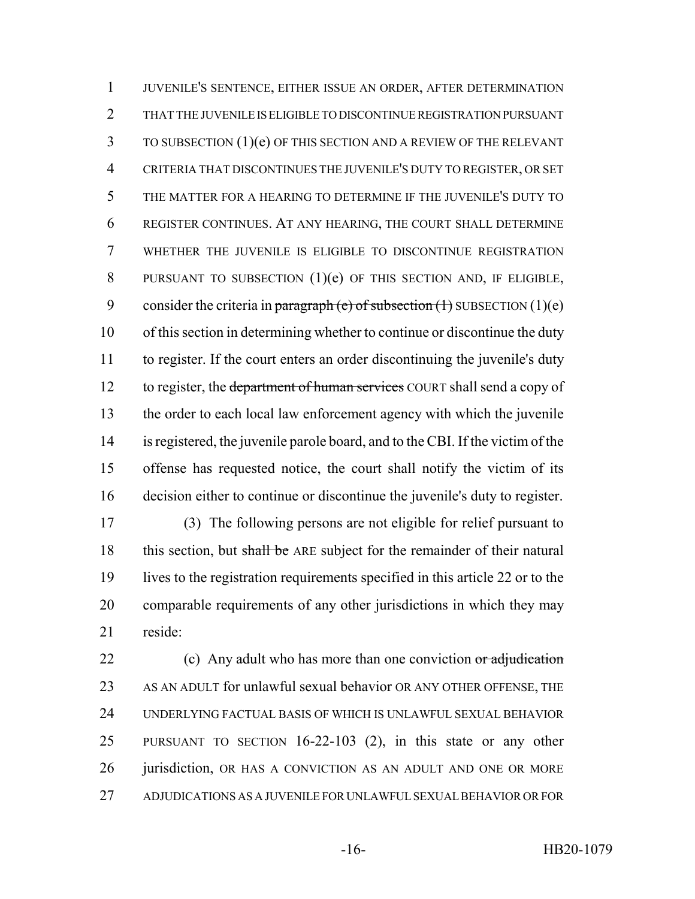JUVENILE'S SENTENCE, EITHER ISSUE AN ORDER, AFTER DETERMINATION THAT THE JUVENILE IS ELIGIBLE TO DISCONTINUE REGISTRATION PURSUANT TO SUBSECTION (1)(e) OF THIS SECTION AND A REVIEW OF THE RELEVANT CRITERIA THAT DISCONTINUES THE JUVENILE'S DUTY TO REGISTER, OR SET THE MATTER FOR A HEARING TO DETERMINE IF THE JUVENILE'S DUTY TO REGISTER CONTINUES. AT ANY HEARING, THE COURT SHALL DETERMINE WHETHER THE JUVENILE IS ELIGIBLE TO DISCONTINUE REGISTRATION 8 PURSUANT TO SUBSECTION (1)(e) OF THIS SECTION AND, IF ELIGIBLE, 9 consider the criteria in paragraph (e) of subsection  $(1)$  SUBSECTION  $(1)(e)$  of this section in determining whether to continue or discontinue the duty to register. If the court enters an order discontinuing the juvenile's duty 12 to register, the department of human services COURT shall send a copy of the order to each local law enforcement agency with which the juvenile is registered, the juvenile parole board, and to the CBI. If the victim of the offense has requested notice, the court shall notify the victim of its decision either to continue or discontinue the juvenile's duty to register.

 (3) The following persons are not eligible for relief pursuant to 18 this section, but shall be ARE subject for the remainder of their natural lives to the registration requirements specified in this article 22 or to the comparable requirements of any other jurisdictions in which they may reside:

22 (c) Any adult who has more than one conviction or adjudication AS AN ADULT for unlawful sexual behavior OR ANY OTHER OFFENSE, THE UNDERLYING FACTUAL BASIS OF WHICH IS UNLAWFUL SEXUAL BEHAVIOR PURSUANT TO SECTION 16-22-103 (2), in this state or any other 26 jurisdiction, OR HAS A CONVICTION AS AN ADULT AND ONE OR MORE ADJUDICATIONS AS A JUVENILE FOR UNLAWFUL SEXUAL BEHAVIOR OR FOR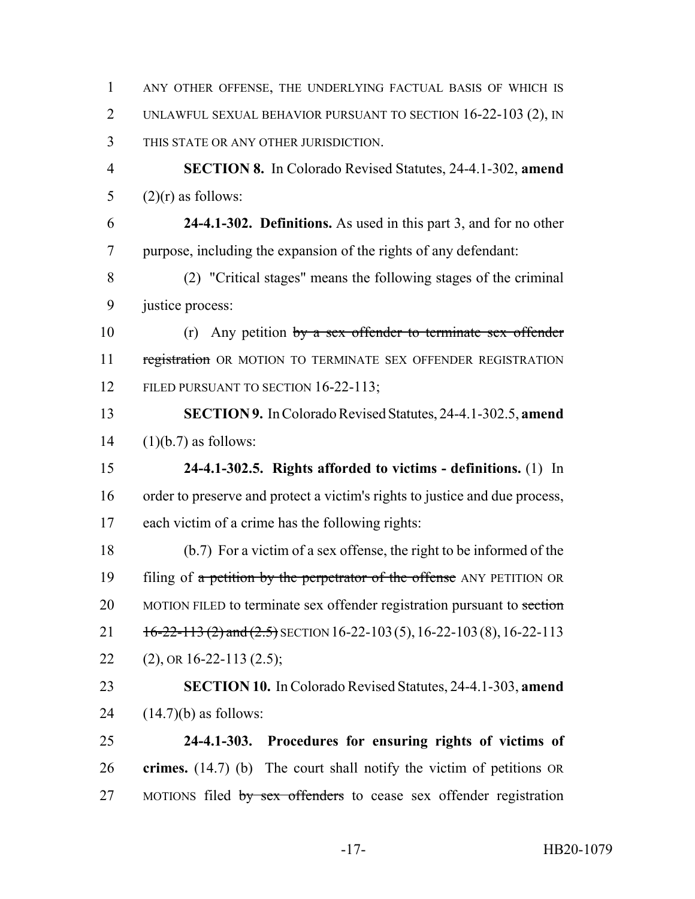ANY OTHER OFFENSE, THE UNDERLYING FACTUAL BASIS OF WHICH IS UNLAWFUL SEXUAL BEHAVIOR PURSUANT TO SECTION 16-22-103 (2), IN THIS STATE OR ANY OTHER JURISDICTION. **SECTION 8.** In Colorado Revised Statutes, 24-4.1-302, **amend**  $(2)(r)$  as follows: **24-4.1-302. Definitions.** As used in this part 3, and for no other purpose, including the expansion of the rights of any defendant: (2) "Critical stages" means the following stages of the criminal justice process: 10 (r) Any petition by a sex offender to terminate sex offender 11 registration OR MOTION TO TERMINATE SEX OFFENDER REGISTRATION 12 FILED PURSUANT TO SECTION 16-22-113; **SECTION 9.** In Colorado Revised Statutes, 24-4.1-302.5, **amend**  $(1)(b.7)$  as follows: **24-4.1-302.5. Rights afforded to victims - definitions.** (1) In order to preserve and protect a victim's rights to justice and due process, each victim of a crime has the following rights: (b.7) For a victim of a sex offense, the right to be informed of the 19 filing of a petition by the perpetrator of the offense ANY PETITION OR 20 MOTION FILED to terminate sex offender registration pursuant to section  $16-22-113$  (2) and (2.5) SECTION 16-22-103 (5), 16-22-103 (8), 16-22-113 22 (2), OR 16-22-113 (2.5); **SECTION 10.** In Colorado Revised Statutes, 24-4.1-303, **amend**  $(14.7)(b)$  as follows: **24-4.1-303. Procedures for ensuring rights of victims of crimes.** (14.7) (b) The court shall notify the victim of petitions OR 27 MOTIONS filed by sex offenders to cease sex offender registration